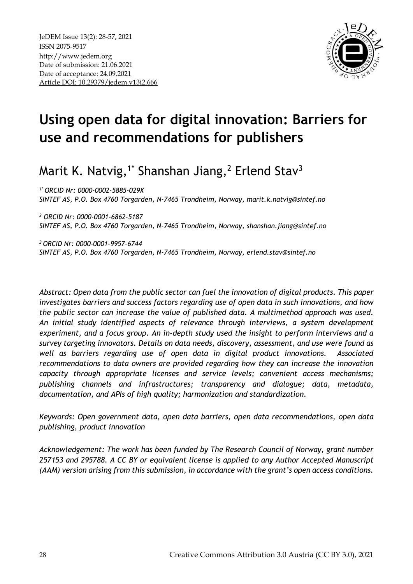

# **Using open data for digital innovation: Barriers for use and recommendations for publishers**

Marit K. Natvig, $^{1^*}$  Shanshan Jiang, $^2$  Erlend Stav $^3$ 

*1\* ORCID Nr: 0000-0002-5885-029X SINTEF AS, P.O. Box 4760 Torgarden, N-7465 Trondheim, Norway, marit.k.natvig@sintef.no* 

*<sup>2</sup> ORCID Nr: 0000-0001-6862-5187 SINTEF AS, P.O. Box 4760 Torgarden, N-7465 Trondheim, Norway, shanshan.jiang@sintef.no* 

*<sup>3</sup>ORCID Nr: 0000-0001-9957-6744 SINTEF AS, P.O. Box 4760 Torgarden, N-7465 Trondheim, Norway, erlend.stav@sintef.no* 

*Abstract: Open data from the public sector can fuel the innovation of digital products. This paper investigates barriers and success factors regarding use of open data in such innovations, and how the public sector can increase the value of published data. A multimethod approach was used. An initial study identified aspects of relevance through interviews, a system development experiment, and a focus group. An in-depth study used the insight to perform interviews and a survey targeting innovators. Details on data needs, discovery, assessment, and use were found as well as barriers regarding use of open data in digital product innovations. Associated recommendations to data owners are provided regarding how they can increase the innovation capacity through appropriate licenses and service levels; convenient access mechanisms; publishing channels and infrastructures; transparency and dialogue; data, metadata, documentation, and APIs of high quality; harmonization and standardization.*

*Keywords: Open government data, open data barriers, open data recommendations, open data publishing, product innovation*

*Acknowledgement: The work has been funded by The Research Council of Norway, grant number 257153 and 295788. A CC BY or equivalent license is applied to any Author Accepted Manuscript (AAM) version arising from this submission, in accordance with the grant's open access conditions.*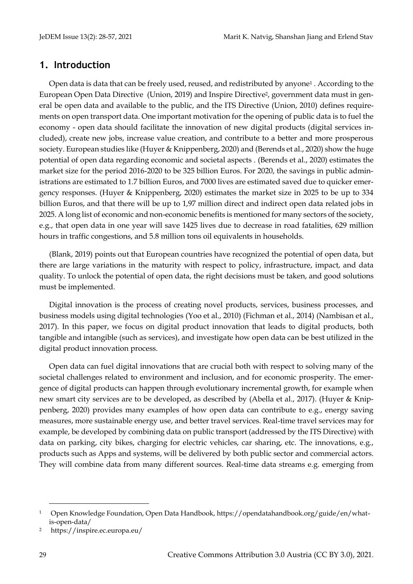## **1. Introduction**

Open data is data that can be freely used, reused, and redistributed by anyone<sup>1</sup> . According to the European Open Data Directive (Union, 2019) and Inspire Directive2, government data must in general be open data and available to the public, and the ITS Directive (Union, 2010) defines requirements on open transport data. One important motivation for the opening of public data is to fuel the economy - open data should facilitate the innovation of new digital products (digital services included), create new jobs, increase value creation, and contribute to a better and more prosperous society. European studies like (Huyer & Knippenberg, 2020) and (Berends et al., 2020) show the huge potential of open data regarding economic and societal aspects . (Berends et al., 2020) estimates the market size for the period 2016-2020 to be 325 billion Euros. For 2020, the savings in public administrations are estimated to 1.7 billion Euros, and 7000 lives are estimated saved due to quicker emergency responses. (Huyer & Knippenberg, 2020) estimates the market size in 2025 to be up to 334 billion Euros, and that there will be up to 1,97 million direct and indirect open data related jobs in 2025. A long list of economic and non-economic benefits is mentioned for many sectors of the society, e.g., that open data in one year will save 1425 lives due to decrease in road fatalities, 629 million hours in traffic congestions, and 5.8 million tons oil equivalents in households.

(Blank, 2019) points out that European countries have recognized the potential of open data, but there are large variations in the maturity with respect to policy, infrastructure, impact, and data quality. To unlock the potential of open data, the right decisions must be taken, and good solutions must be implemented.

Digital innovation is the process of creating novel products, services, business processes, and business models using digital technologies (Yoo et al., 2010) (Fichman et al., 2014) (Nambisan et al., 2017). In this paper, we focus on digital product innovation that leads to digital products, both tangible and intangible (such as services), and investigate how open data can be best utilized in the digital product innovation process.

Open data can fuel digital innovations that are crucial both with respect to solving many of the societal challenges related to environment and inclusion, and for economic prosperity. The emergence of digital products can happen through evolutionary incremental growth, for example when new smart city services are to be developed, as described by (Abella et al., 2017). (Huyer & Knippenberg, 2020) provides many examples of how open data can contribute to e.g., energy saving measures, more sustainable energy use, and better travel services. Real-time travel services may for example, be developed by combining data on public transport (addressed by the ITS Directive) with data on parking, city bikes, charging for electric vehicles, car sharing, etc. The innovations, e.g., products such as Apps and systems, will be delivered by both public sector and commercial actors. They will combine data from many different sources. Real-time data streams e.g. emerging from

<sup>1</sup> Open Knowledge Foundation, Open Data Handbook, https://opendatahandbook.org/guide/en/whatis-open-data/

<sup>2</sup> https://inspire.ec.europa.eu/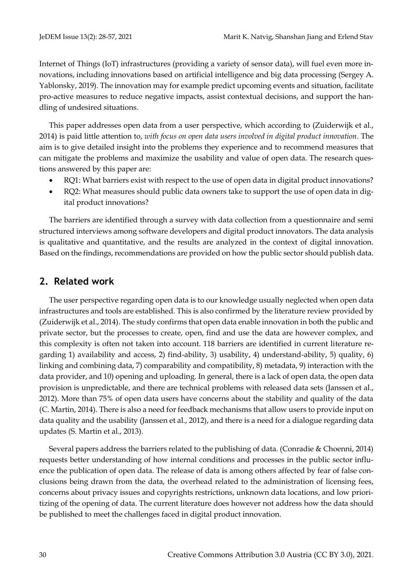Internet of Things (IoT) infrastructures (providing a variety of sensor data), will fuel even more innovations, including innovations based on artificial intelligence and big data processing (Sergey A. Yablonsky, 2019). The innovation may for example predict upcoming events and situation, facilitate pro-active measures to reduce negative impacts, assist contextual decisions, and support the handling of undesired situations.

This paper addresses open data from a user perspective, which according to (Zuiderwijk et al., 2014) is paid little attention to, *with focus on open data users involved in digital product innovation*. The aim is to give detailed insight into the problems they experience and to recommend measures that can mitigate the problems and maximize the usability and value of open data. The research questions answered by this paper are:

- RQ1: What barriers exist with respect to the use of open data in digital product innovations?
- RQ2: What measures should public data owners take to support the use of open data in digital product innovations?

The barriers are identified through a survey with data collection from a questionnaire and semi structured interviews among software developers and digital product innovators. The data analysis is qualitative and quantitative, and the results are analyzed in the context of digital innovation. Based on the findings, recommendations are provided on how the public sector should publish data.

# <span id="page-2-1"></span><span id="page-2-0"></span>**2. Related work**

The user perspective regarding open data is to our knowledge usually neglected when open data infrastructures and tools are established. This is also confirmed by the literature review provided by (Zuiderwijk et al., 2014). The study confirms that open data enable innovation in both the public and private sector, but the processes to create, open, find and use the data are however complex, and this complexity is often not taken into account. 118 barriers are identified in current literature regarding 1) availability and access, 2) find-ability, 3) usability, 4) understand-ability, 5) quality, 6) linking and combining data, 7) comparability and compatibility, 8) metadata, 9) interaction with the data provider, and 10) opening and uploading. In general, there is a lack of open data, the open data provision is unpredictable, and there are technical problems with released data sets (Janssen et al., 2012). More than 75% of open data users have concerns about the stability and quality of the data (C. Martin, 2014). There is also a need for feedback mechanisms that allow users to provide input on data quality and the usability (Janssen et al., 2012), and there is a need for a dialogue regarding data updates (S. Martin et al., 2013).

Several papers address the barriers related to the publishing of data. (Conradie & Choenni, 2014) requests better understanding of how internal conditions and processes in the public sector influence the publication of open data. The release of data is among others affected by fear of false conclusions being drawn from the data, the overhead related to the administration of licensing fees, concerns about privacy issues and copyrights restrictions, unknown data locations, and low prioritizing of the opening of data. The current literature does however not address how the data should be published to meet the challenges faced in digital product innovation.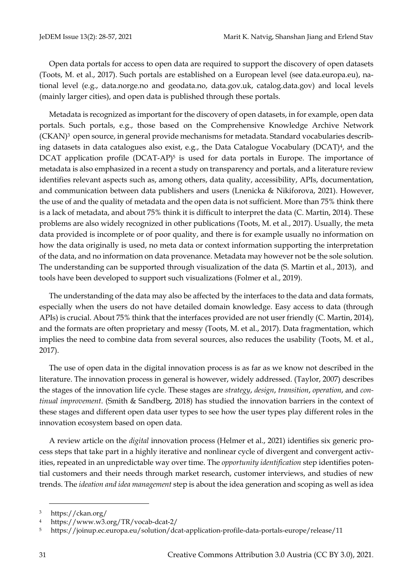Open data portals for access to open data are required to support the discovery of open datasets (Toots, M. et al., 2017). Such portals are established on a European level (see data.europa.eu), national level (e.g., data.norge.no and geodata.no, data.gov.uk, catalog.data.gov) and local levels (mainly larger cities), and open data is published through these portals.

Metadata is recognized as important for the discovery of open datasets, in for example, open data portals. Such portals, e.g., those based on the Comprehensive Knowledge Archive Network  $(CKAN)<sup>3</sup>$  open source, in general provide mechanisms for metadata. Standard vocabularies describing datasets in data catalogues also exist, e.g., the Data Catalogue Vocabulary (DCAT)4, and the DCAT application profile (DCAT-AP)<sup>5</sup> is used for data portals in Europe. The importance of metadata is also emphasized in a recent a study on transparency and portals, and a literature review identifies relevant aspects such as, among others, data quality, accessibility, APIs, documentation, and communication between data publishers and users (Lnenicka & Nikiforova, 2021). However, the use of and the quality of metadata and the open data is not sufficient. More than 75% think there is a lack of metadata, and about 75% think it is difficult to interpret the data (C. Martin, 2014). These problems are also widely recognized in other publications (Toots, M. et al., 2017). Usually, the meta data provided is incomplete or of poor quality, and there is for example usually no information on how the data originally is used, no meta data or context information supporting the interpretation of the data, and no information on data provenance. Metadata may however not be the sole solution. The understanding can be supported through visualization of the data (S. Martin et al., 2013), and tools have been developed to support such visualizations (Folmer et al., 2019).

The understanding of the data may also be affected by the interfaces to the data and data formats, especially when the users do not have detailed domain knowledge. Easy access to data (through APIs) is crucial. About 75% think that the interfaces provided are not user friendly (C. Martin, 2014), and the formats are often proprietary and messy (Toots, M. et al., 2017). Data fragmentation, which implies the need to combine data from several sources, also reduces the usability (Toots, M. et al., 2017).

The use of open data in the digital innovation process is as far as we know not described in the literature. The innovation process in general is however, widely addressed. (Taylor, 2007) describes the stages of the innovation life cycle. These stages are *strategy*, *design*, *transition*, *operation*, and *continual improvement*. (Smith & Sandberg, 2018) has studied the innovation barriers in the context of these stages and different open data user types to see how the user types play different roles in the innovation ecosystem based on open data.

A review article on the *digital* innovation process (Helmer et al., 2021) identifies six generic process steps that take part in a highly iterative and nonlinear cycle of divergent and convergent activities, repeated in an unpredictable way over time. The *opportunity identification* step identifies potential customers and their needs through market research, customer interviews, and studies of new trends. The *ideation and idea management* step is about the idea generation and scoping as well as idea

<sup>3</sup> https://ckan.org/

<sup>4</sup> https://www.w3.org/TR/vocab-dcat-2/

<sup>5</sup> https://joinup.ec.europa.eu/solution/dcat-application-profile-data-portals-europe/release/11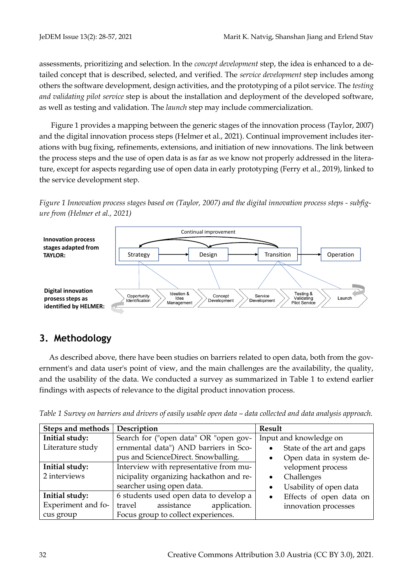assessments, prioritizing and selection. In the *concept development* step, the idea is enhanced to a detailed concept that is described, selected, and verified. The *service development* step includes among others the software development, design activities, and the prototyping of a pilot service. The *testing and validating pilot service* step is about the installation and deployment of the developed software, as well as testing and validation. The *launch* step may include commercialization.

[Figure 1](#page-4-0) provides a mapping between the generic stages of the innovation process (Taylor, 2007) and the digital innovation process steps (Helmer et al., 2021). Continual improvement includes iterations with bug fixing, refinements, extensions, and initiation of new innovations. The link between the process steps and the use of open data is as far as we know not properly addressed in the literature, except for aspects regarding use of open data in early prototyping (Ferry et al., 2019), linked to the service development step.

<span id="page-4-0"></span>*Figure 1 Innovation process stages based on (Taylor, 2007) and the digital innovation process steps - subfigure from (Helmer et al., 2021)*



# **3. Methodology**

As described above, there have been studies on barriers related to open data, both from the government's and data user's point of view, and the main challenges are the availability, the quality, and the usability of the data. We conducted a survey as summarized in [Table 1](#page-4-1) to extend earlier findings with aspects of relevance to the digital product innovation process.

<span id="page-4-1"></span>

| Table 1 Survey on barriers and drivers of easily usable open data – data collected and data analysis approach. |  |  |  |  |
|----------------------------------------------------------------------------------------------------------------|--|--|--|--|
|                                                                                                                |  |  |  |  |

| Steps and methods  | Description                             | Result                               |
|--------------------|-----------------------------------------|--------------------------------------|
| Initial study:     | Search for ("open data" OR "open gov-   | Input and knowledge on               |
| Literature study   | ernmental data") AND barriers in Sco-   | State of the art and gaps            |
|                    | pus and ScienceDirect. Snowballing.     | Open data in system de-              |
| Initial study:     | Interview with representative from mu-  | velopment process                    |
| 2 interviews       | nicipality organizing hackathon and re- | Challenges<br>$\bullet$              |
|                    | searcher using open data.               | Usability of open data<br>$\bullet$  |
| Initial study:     | 6 students used open data to develop a  | Effects of open data on<br>$\bullet$ |
| Experiment and fo- | application.<br>travel<br>assistance    | innovation processes                 |
| cus group          | Focus group to collect experiences.     |                                      |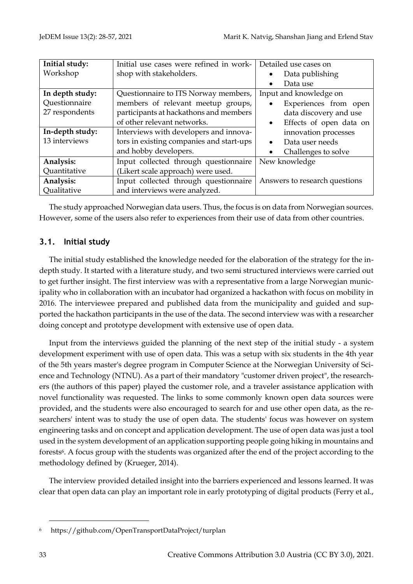| Initial study:  | Initial use cases were refined in work-  | Detailed use cases on                |
|-----------------|------------------------------------------|--------------------------------------|
| Workshop        | shop with stakeholders.                  | Data publishing                      |
|                 |                                          | Data use                             |
| In depth study: | Questionnaire to ITS Norway members,     | Input and knowledge on               |
| Questionnaire   | members of relevant meetup groups,       | Experiences from open                |
| 27 respondents  | participants at hackathons and members   | data discovery and use               |
|                 | of other relevant networks.              | Effects of open data on<br>$\bullet$ |
| In-depth study: | Interviews with developers and innova-   | innovation processes                 |
| 13 interviews   | tors in existing companies and start-ups | Data user needs<br>$\bullet$         |
|                 | and hobby developers.                    | Challenges to solve                  |
| Analysis:       | Input collected through questionnaire    | New knowledge                        |
| Quantitative    | (Likert scale approach) were used.       |                                      |
| Analysis:       | Input collected through questionnaire    | Answers to research questions        |
| Qualitative     | and interviews were analyzed.            |                                      |

The study approached Norwegian data users. Thus, the focus is on data from Norwegian sources. However, some of the users also refer to experiences from their use of data from other countries.

## **3.1. Initial study**

The initial study established the knowledge needed for the elaboration of the strategy for the indepth study. It started with a literature study, and two semi structured interviews were carried out to get further insight. The first interview was with a representative from a large Norwegian municipality who in collaboration with an incubator had organized a hackathon with focus on mobility in 2016. The interviewee prepared and published data from the municipality and guided and supported the hackathon participants in the use of the data. The second interview was with a researcher doing concept and prototype development with extensive use of open data.

Input from the interviews guided the planning of the next step of the initial study - a system development experiment with use of open data. This was a setup with six students in the 4th year of the 5th years master's degree program in Computer Science at the Norwegian University of Science and Technology (NTNU). As a part of their mandatory "customer driven project", the researchers (the authors of this paper) played the customer role, and a traveler assistance application with novel functionality was requested. The links to some commonly known open data sources were provided, and the students were also encouraged to search for and use other open data, as the researchers' intent was to study the use of open data. The students' focus was however on system engineering tasks and on concept and application development. The use of open data was just a tool used in the system development of an application supporting people going hiking in mountains and forests<sup>6</sup>. A focus group with the students was organized after the end of the project according to the methodology defined by (Krueger, 2014).

The interview provided detailed insight into the barriers experienced and lessons learned. It was clear that open data can play an important role in early prototyping of digital products (Ferry et al.,

<sup>6</sup> https://github.com/OpenTransportDataProject/turplan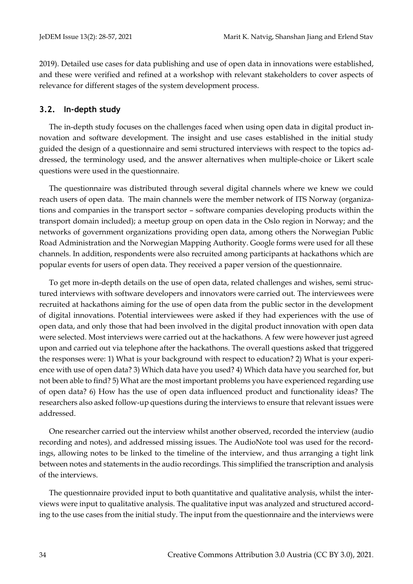2019). Detailed use cases for data publishing and use of open data in innovations were established, and these were verified and refined at a workshop with relevant stakeholders to cover aspects of relevance for different stages of the system development process.

#### **3.2. In-depth study**

The in-depth study focuses on the challenges faced when using open data in digital product innovation and software development. The insight and use cases established in the initial study guided the design of a questionnaire and semi structured interviews with respect to the topics addressed, the terminology used, and the answer alternatives when multiple-choice or Likert scale questions were used in the questionnaire.

The questionnaire was distributed through several digital channels where we knew we could reach users of open data. The main channels were the member network of ITS Norway (organizations and companies in the transport sector – software companies developing products within the transport domain included); a meetup group on open data in the Oslo region in Norway; and the networks of government organizations providing open data, among others the Norwegian Public Road Administration and the Norwegian Mapping Authority. Google forms were used for all these channels. In addition, respondents were also recruited among participants at hackathons which are popular events for users of open data. They received a paper version of the questionnaire.

To get more in-depth details on the use of open data, related challenges and wishes, semi structured interviews with software developers and innovators were carried out. The interviewees were recruited at hackathons aiming for the use of open data from the public sector in the development of digital innovations. Potential interviewees were asked if they had experiences with the use of open data, and only those that had been involved in the digital product innovation with open data were selected. Most interviews were carried out at the hackathons. A few were however just agreed upon and carried out via telephone after the hackathons. The overall questions asked that triggered the responses were: 1) What is your background with respect to education? 2) What is your experience with use of open data? 3) Which data have you used? 4) Which data have you searched for, but not been able to find? 5) What are the most important problems you have experienced regarding use of open data? 6) How has the use of open data influenced product and functionality ideas? The researchers also asked follow-up questions during the interviews to ensure that relevant issues were addressed.

One researcher carried out the interview whilst another observed, recorded the interview (audio recording and notes), and addressed missing issues. The AudioNote tool was used for the recordings, allowing notes to be linked to the timeline of the interview, and thus arranging a tight link between notes and statements in the audio recordings. This simplified the transcription and analysis of the interviews.

The questionnaire provided input to both quantitative and qualitative analysis, whilst the interviews were input to qualitative analysis. The qualitative input was analyzed and structured according to the use cases from the initial study. The input from the questionnaire and the interviews were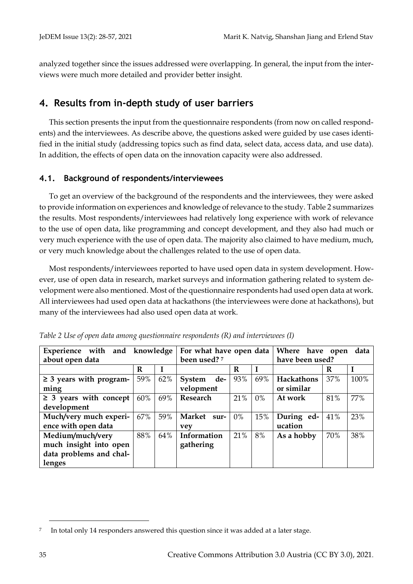analyzed together since the issues addressed were overlapping. In general, the input from the interviews were much more detailed and provider better insight.

## <span id="page-7-1"></span>**4. Results from in-depth study of user barriers**

This section presents the input from the questionnaire respondents (from now on called respondents) and the interviewees. As describe above, the questions asked were guided by use cases identified in the initial study (addressing topics such as find data, select data, access data, and use data). In addition, the effects of open data on the innovation capacity were also addressed.

## **4.1. Background of respondents/interviewees**

To get an overview of the background of the respondents and the interviewees, they were asked to provide information on experiences and knowledge of relevance to the study[. Table 2](#page-7-0) summarizes the results. Most respondents/interviewees had relatively long experience with work of relevance to the use of open data, like programming and concept development, and they also had much or very much experience with the use of open data. The majority also claimed to have medium, much, or very much knowledge about the challenges related to the use of open data.

Most respondents/interviewees reported to have used open data in system development. However, use of open data in research, market surveys and information gathering related to system development were also mentioned. Most of the questionnaire respondents had used open data at work. All interviewees had used open data at hackathons (the interviewees were done at hackathons), but many of the interviewees had also used open data at work.

| Experience with and knowledge |     |     | For what have open data |       |     | Where have open |     | data |
|-------------------------------|-----|-----|-------------------------|-------|-----|-----------------|-----|------|
| about open data               |     |     | been used? 7            |       |     | have been used? |     |      |
|                               | R   |     |                         | R     |     |                 | R   |      |
| $\geq$ 3 years with program-  | 59% | 62% | de-<br>System           | 93%   | 69% | Hackathons      | 37% | 100% |
| ming                          |     |     | velopment               |       |     | or similar      |     |      |
| $\geq$ 3 years with concept   | 60% | 69% | Research                | 21%   | 0%  | At work         | 81% | 77%  |
| development                   |     |     |                         |       |     |                 |     |      |
| Much/very much experi-        | 67% | 59% | Market<br>sur-          | $0\%$ | 15% | During ed-      | 41% | 23%  |
| ence with open data           |     |     | vev                     |       |     | ucation         |     |      |
| Medium/much/very              | 88% | 64% | Information             | 21%   | 8%  | As a hobby      | 70% | 38%  |
| much insight into open        |     |     | gathering               |       |     |                 |     |      |
| data problems and chal-       |     |     |                         |       |     |                 |     |      |
| lenges                        |     |     |                         |       |     |                 |     |      |

<span id="page-7-0"></span>*Table 2 Use of open data among questionnaire respondents (R) and interviewees (I)*

<sup>7</sup> In total only 14 responders answered this question since it was added at a later stage.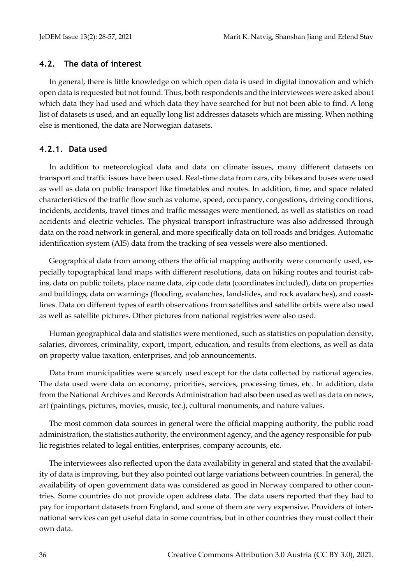#### **4.2. The data of interest**

In general, there is little knowledge on which open data is used in digital innovation and which open data is requested but not found. Thus, both respondents and the interviewees were asked about which data they had used and which data they have searched for but not been able to find. A long list of datasets is used, and an equally long list addresses datasets which are missing. When nothing else is mentioned, the data are Norwegian datasets.

## **4.2.1. Data used**

In addition to meteorological data and data on climate issues, many different datasets on transport and traffic issues have been used. Real-time data from cars, city bikes and buses were used as well as data on public transport like timetables and routes. In addition, time, and space related characteristics of the traffic flow such as volume, speed, occupancy, congestions, driving conditions, incidents, accidents, travel times and traffic messages were mentioned, as well as statistics on road accidents and electric vehicles. The physical transport infrastructure was also addressed through data on the road network in general, and more specifically data on toll roads and bridges. Automatic identification system (AIS) data from the tracking of sea vessels were also mentioned.

Geographical data from among others the official mapping authority were commonly used, especially topographical land maps with different resolutions, data on hiking routes and tourist cabins, data on public toilets, place name data, zip code data (coordinates included), data on properties and buildings, data on warnings (flooding, avalanches, landslides, and rock avalanches), and coastlines. Data on different types of earth observations from satellites and satellite orbits were also used as well as satellite pictures. Other pictures from national registries were also used.

Human geographical data and statistics were mentioned, such as statistics on population density, salaries, divorces, criminality, export, import, education, and results from elections, as well as data on property value taxation, enterprises, and job announcements.

Data from municipalities were scarcely used except for the data collected by national agencies. The data used were data on economy, priorities, services, processing times, etc. In addition, data from the National Archives and Records Administration had also been used as well as data on news, art (paintings, pictures, movies, music, tec.), cultural monuments, and nature values.

The most common data sources in general were the official mapping authority, the public road administration, the statistics authority, the environment agency, and the agency responsible for public registries related to legal entities, enterprises, company accounts, etc.

The interviewees also reflected upon the data availability in general and stated that the availability of data is improving, but they also pointed out large variations between countries. In general, the availability of open government data was considered as good in Norway compared to other countries. Some countries do not provide open address data. The data users reported that they had to pay for important datasets from England, and some of them are very expensive. Providers of international services can get useful data in some countries, but in other countries they must collect their own data.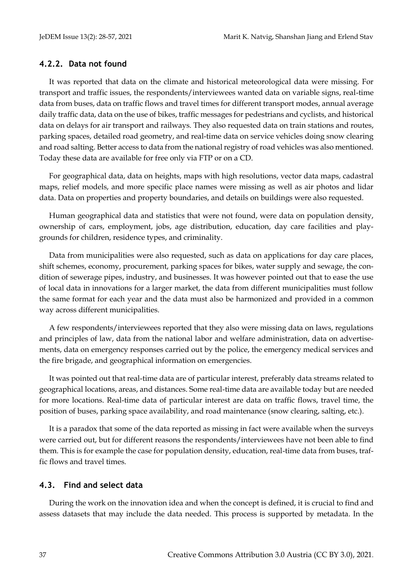#### **4.2.2. Data not found**

It was reported that data on the climate and historical meteorological data were missing. For transport and traffic issues, the respondents/interviewees wanted data on variable signs, real-time data from buses, data on traffic flows and travel times for different transport modes, annual average daily traffic data, data on the use of bikes, traffic messages for pedestrians and cyclists, and historical data on delays for air transport and railways. They also requested data on train stations and routes, parking spaces, detailed road geometry, and real-time data on service vehicles doing snow clearing and road salting. Better access to data from the national registry of road vehicles was also mentioned. Today these data are available for free only via FTP or on a CD.

For geographical data, data on heights, maps with high resolutions, vector data maps, cadastral maps, relief models, and more specific place names were missing as well as air photos and lidar data. Data on properties and property boundaries, and details on buildings were also requested.

Human geographical data and statistics that were not found, were data on population density, ownership of cars, employment, jobs, age distribution, education, day care facilities and playgrounds for children, residence types, and criminality.

Data from municipalities were also requested, such as data on applications for day care places, shift schemes, economy, procurement, parking spaces for bikes, water supply and sewage, the condition of sewerage pipes, industry, and businesses. It was however pointed out that to ease the use of local data in innovations for a larger market, the data from different municipalities must follow the same format for each year and the data must also be harmonized and provided in a common way across different municipalities.

A few respondents/interviewees reported that they also were missing data on laws, regulations and principles of law, data from the national labor and welfare administration, data on advertisements, data on emergency responses carried out by the police, the emergency medical services and the fire brigade, and geographical information on emergencies.

It was pointed out that real-time data are of particular interest, preferably data streams related to geographical locations, areas, and distances. Some real-time data are available today but are needed for more locations. Real-time data of particular interest are data on traffic flows, travel time, the position of buses, parking space availability, and road maintenance (snow clearing, salting, etc.).

It is a paradox that some of the data reported as missing in fact were available when the surveys were carried out, but for different reasons the respondents/interviewees have not been able to find them. This is for example the case for population density, education, real-time data from buses, traffic flows and travel times.

#### **4.3. Find and select data**

During the work on the innovation idea and when the concept is defined, it is crucial to find and assess datasets that may include the data needed. This process is supported by metadata. In the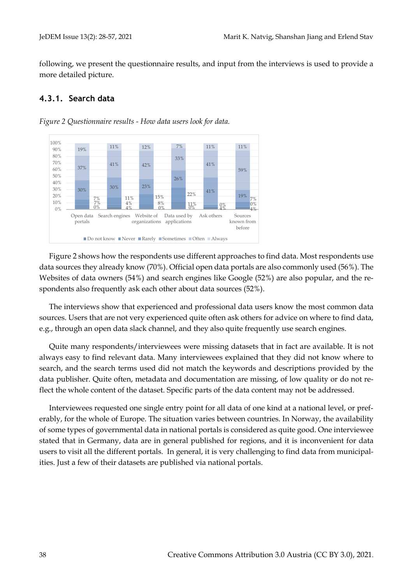following, we present the questionnaire results, and input from the interviews is used to provide a more detailed picture.

## <span id="page-10-0"></span>**4.3.1. Search data**



*Figure 2 Questionnaire results - How data users look for data.*

[Figure 2](#page-10-0) shows how the respondents use different approaches to find data. Most respondents use data sources they already know (70%). Official open data portals are also commonly used (56%). The Websites of data owners (54%) and search engines like Google (52%) are also popular, and the respondents also frequently ask each other about data sources (52%).

The interviews show that experienced and professional data users know the most common data sources. Users that are not very experienced quite often ask others for advice on where to find data, e.g., through an open data slack channel, and they also quite frequently use search engines.

Quite many respondents/interviewees were missing datasets that in fact are available. It is not always easy to find relevant data. Many interviewees explained that they did not know where to search, and the search terms used did not match the keywords and descriptions provided by the data publisher. Quite often, metadata and documentation are missing, of low quality or do not reflect the whole content of the dataset. Specific parts of the data content may not be addressed.

Interviewees requested one single entry point for all data of one kind at a national level, or preferably, for the whole of Europe. The situation varies between countries. In Norway, the availability of some types of governmental data in national portals is considered as quite good. One interviewee stated that in Germany, data are in general published for regions, and it is inconvenient for data users to visit all the different portals. In general, it is very challenging to find data from municipalities. Just a few of their datasets are published via national portals.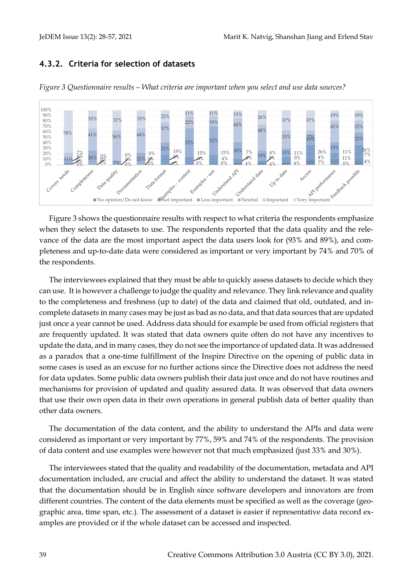## <span id="page-11-0"></span>**4.3.2. Criteria for selection of datasets**



*Figure 3 Questionnaire results – What criteria are important when you select and use data sources?*

[Figure 3](#page-11-0) shows the questionnaire results with respect to what criteria the respondents emphasize when they select the datasets to use. The respondents reported that the data quality and the relevance of the data are the most important aspect the data users look for (93% and 89%), and completeness and up-to-date data were considered as important or very important by 74% and 70% of the respondents.

The interviewees explained that they must be able to quickly assess datasets to decide which they can use. It is however a challenge to judge the quality and relevance. They link relevance and quality to the completeness and freshness (up to date) of the data and claimed that old, outdated, and incomplete datasets in many cases may be just as bad as no data, and that data sources that are updated just once a year cannot be used. Address data should for example be used from official registers that are frequently updated. It was stated that data owners quite often do not have any incentives to update the data, and in many cases, they do not see the importance of updated data. It was addressed as a paradox that a one-time fulfillment of the Inspire Directive on the opening of public data in some cases is used as an excuse for no further actions since the Directive does not address the need for data updates. Some public data owners publish their data just once and do not have routines and mechanisms for provision of updated and quality assured data. It was observed that data owners that use their own open data in their own operations in general publish data of better quality than other data owners.

The documentation of the data content, and the ability to understand the APIs and data were considered as important or very important by 77%, 59% and 74% of the respondents. The provision of data content and use examples were however not that much emphasized (just 33% and 30%).

The interviewees stated that the quality and readability of the documentation, metadata and API documentation included, are crucial and affect the ability to understand the dataset. It was stated that the documentation should be in English since software developers and innovators are from different countries. The content of the data elements must be specified as well as the coverage (geographic area, time span, etc.). The assessment of a dataset is easier if representative data record examples are provided or if the whole dataset can be accessed and inspected.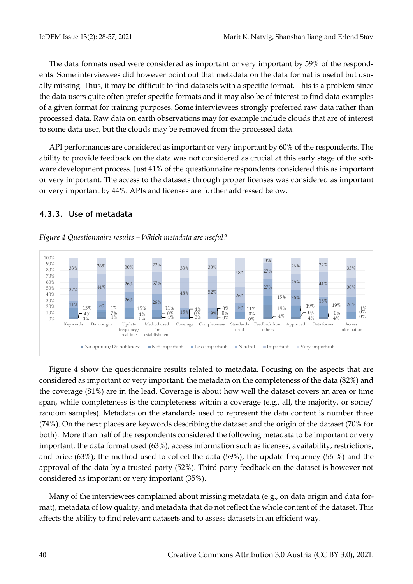The data formats used were considered as important or very important by 59% of the respondents. Some interviewees did however point out that metadata on the data format is useful but usually missing. Thus, it may be difficult to find datasets with a specific format. This is a problem since the data users quite often prefer specific formats and it may also be of interest to find data examples of a given format for training purposes. Some interviewees strongly preferred raw data rather than processed data. Raw data on earth observations may for example include clouds that are of interest to some data user, but the clouds may be removed from the processed data.

API performances are considered as important or very important by 60% of the respondents. The ability to provide feedback on the data was not considered as crucial at this early stage of the software development process. Just 41% of the questionnaire respondents considered this as important or very important. The access to the datasets through proper licenses was considered as important or very important by 44%. APIs and licenses are further addressed below.

## <span id="page-12-0"></span>**4.3.3. Use of metadata**

#### *Figure 4 Questionnaire results – Which metadata are useful?*



[Figure 4](#page-12-0) show the questionnaire results related to metadata. Focusing on the aspects that are considered as important or very important, the metadata on the completeness of the data (82%) and the coverage (81%) are in the lead. Coverage is about how well the dataset covers an area or time span, while completeness is the completeness within a coverage (e.g., all, the majority, or some/ random samples). Metadata on the standards used to represent the data content is number three (74%). On the next places are keywords describing the dataset and the origin of the dataset (70% for both). More than half of the respondents considered the following metadata to be important or very important: the data format used (63%); access information such as licenses, availability, restrictions, and price (63%); the method used to collect the data (59%), the update frequency (56 %) and the approval of the data by a trusted party (52%). Third party feedback on the dataset is however not considered as important or very important (35%).

Many of the interviewees complained about missing metadata (e.g., on data origin and data format), metadata of low quality, and metadata that do not reflect the whole content of the dataset. This affects the ability to find relevant datasets and to assess datasets in an efficient way.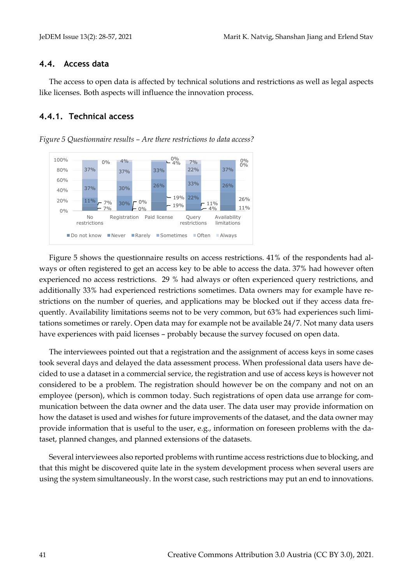#### **4.4. Access data**

The access to open data is affected by technical solutions and restrictions as well as legal aspects like licenses. Both aspects will influence the innovation process.

## <span id="page-13-0"></span>**4.4.1. Technical access**

*Figure 5 Questionnaire results – Are there restrictions to data access?*



[Figure 5](#page-13-0) shows the questionnaire results on access restrictions. 41% of the respondents had always or often registered to get an access key to be able to access the data. 37% had however often experienced no access restrictions. 29 % had always or often experienced query restrictions, and additionally 33% had experienced restrictions sometimes. Data owners may for example have restrictions on the number of queries, and applications may be blocked out if they access data frequently. Availability limitations seems not to be very common, but 63% had experiences such limitations sometimes or rarely. Open data may for example not be available 24/7. Not many data users have experiences with paid licenses – probably because the survey focused on open data.

The interviewees pointed out that a registration and the assignment of access keys in some cases took several days and delayed the data assessment process. When professional data users have decided to use a dataset in a commercial service, the registration and use of access keys is however not considered to be a problem. The registration should however be on the company and not on an employee (person), which is common today. Such registrations of open data use arrange for communication between the data owner and the data user. The data user may provide information on how the dataset is used and wishes for future improvements of the dataset, and the data owner may provide information that is useful to the user, e.g., information on foreseen problems with the dataset, planned changes, and planned extensions of the datasets.

Several interviewees also reported problems with runtime access restrictions due to blocking, and that this might be discovered quite late in the system development process when several users are using the system simultaneously. In the worst case, such restrictions may put an end to innovations.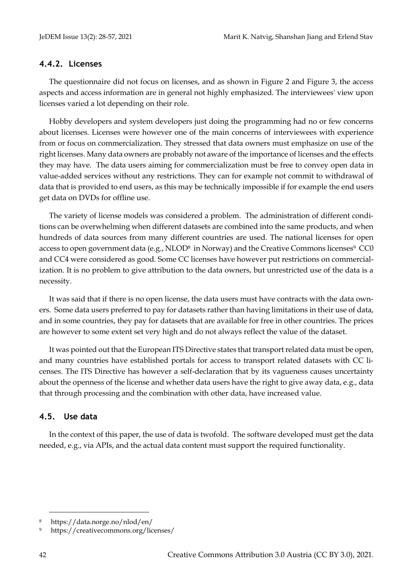#### **4.4.2. Licenses**

The questionnaire did not focus on licenses, and as shown in Figure 2 and Figure 3, the access aspects and access information are in general not highly emphasized. The interviewees' view upon licenses varied a lot depending on their role.

Hobby developers and system developers just doing the programming had no or few concerns about licenses. Licenses were however one of the main concerns of interviewees with experience from or focus on commercialization. They stressed that data owners must emphasize on use of the right licenses. Many data owners are probably not aware of the importance of licenses and the effects they may have. The data users aiming for commercialization must be free to convey open data in value-added services without any restrictions. They can for example not commit to withdrawal of data that is provided to end users, as this may be technically impossible if for example the end users get data on DVDs for offline use.

The variety of license models was considered a problem. The administration of different conditions can be overwhelming when different datasets are combined into the same products, and when hundreds of data sources from many different countries are used. The national licenses for open access to open government data (e.g., NLOD<sup>8</sup> in Norway) and the Creative Commons licenses<sup>9</sup> CC0 and CC4 were considered as good. Some CC licenses have however put restrictions on commercialization. It is no problem to give attribution to the data owners, but unrestricted use of the data is a necessity.

It was said that if there is no open license, the data users must have contracts with the data owners. Some data users preferred to pay for datasets rather than having limitations in their use of data, and in some countries, they pay for datasets that are available for free in other countries. The prices are however to some extent set very high and do not always reflect the value of the dataset.

It was pointed out that the European ITS Directive states that transport related data must be open, and many countries have established portals for access to transport related datasets with CC licenses. The ITS Directive has however a self-declaration that by its vagueness causes uncertainty about the openness of the license and whether data users have the right to give away data, e.g., data that through processing and the combination with other data, have increased value.

#### **4.5. Use data**

In the context of this paper, the use of data is twofold. The software developed must get the data needed, e.g., via APIs, and the actual data content must support the required functionality.

<sup>8</sup> https://data.norge.no/nlod/en/

<sup>9</sup> https://creativecommons.org/licenses/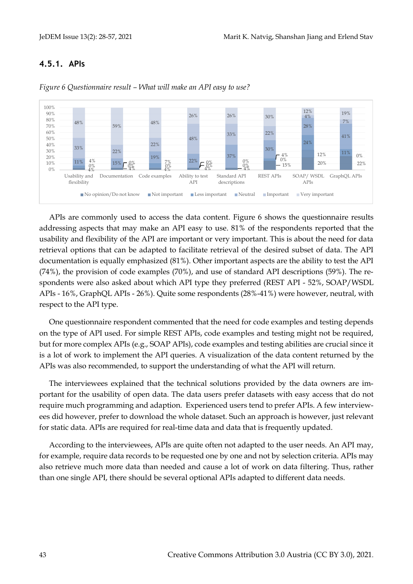## <span id="page-15-0"></span>**4.5.1. APIs**



*Figure 6 Questionnaire result – What will make an API easy to use?*

APIs are commonly used to access the data content. [Figure 6](#page-15-0) shows the questionnaire results addressing aspects that may make an API easy to use. 81% of the respondents reported that the usability and flexibility of the API are important or very important. This is about the need for data retrieval options that can be adapted to facilitate retrieval of the desired subset of data. The API documentation is equally emphasized (81%). Other important aspects are the ability to test the API (74%), the provision of code examples (70%), and use of standard API descriptions (59%). The respondents were also asked about which API type they preferred (REST API - 52%, SOAP/WSDL APIs - 16%, GraphQL APIs - 26%). Quite some respondents (28%-41%) were however, neutral, with respect to the API type.

One questionnaire respondent commented that the need for code examples and testing depends on the type of API used. For simple REST APIs, code examples and testing might not be required, but for more complex APIs (e.g., SOAP APIs), code examples and testing abilities are crucial since it is a lot of work to implement the API queries. A visualization of the data content returned by the APIs was also recommended, to support the understanding of what the API will return.

The interviewees explained that the technical solutions provided by the data owners are important for the usability of open data. The data users prefer datasets with easy access that do not require much programming and adaption. Experienced users tend to prefer APIs. A few interviewees did however, prefer to download the whole dataset. Such an approach is however, just relevant for static data. APIs are required for real-time data and data that is frequently updated.

According to the interviewees, APIs are quite often not adapted to the user needs. An API may, for example, require data records to be requested one by one and not by selection criteria. APIs may also retrieve much more data than needed and cause a lot of work on data filtering. Thus, rather than one single API, there should be several optional APIs adapted to different data needs.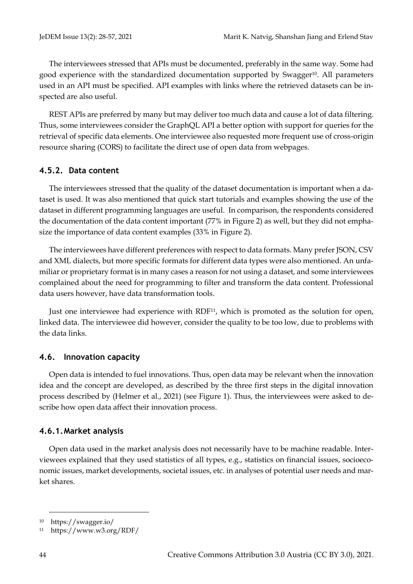The interviewees stressed that APIs must be documented, preferably in the same way. Some had good experience with the standardized documentation supported by Swagger<sup>10</sup>. All parameters used in an API must be specified. API examples with links where the retrieved datasets can be inspected are also useful.

REST APIs are preferred by many but may deliver too much data and cause a lot of data filtering. Thus, some interviewees consider the GraphQL API a better option with support for queries for the retrieval of specific data elements. One interviewee also requested more frequent use of cross-origin resource sharing (CORS) to facilitate the direct use of open data from webpages.

#### **4.5.2. Data content**

The interviewees stressed that the quality of the dataset documentation is important when a dataset is used. It was also mentioned that quick start tutorials and examples showing the use of the dataset in different programming languages are useful. In comparison, the respondents considered the documentation of the data content important (77% in Figure 2) as well, but they did not emphasize the importance of data content examples (33% in Figure 2).

The interviewees have different preferences with respect to data formats. Many prefer JSON, CSV and XML dialects, but more specific formats for different data types were also mentioned. An unfamiliar or proprietary format is in many cases a reason for not using a dataset, and some interviewees complained about the need for programming to filter and transform the data content. Professional data users however, have data transformation tools.

Just one interviewee had experience with RDF11, which is promoted as the solution for open, linked data. The interviewee did however, consider the quality to be too low, due to problems with the data links.

#### **4.6. Innovation capacity**

Open data is intended to fuel innovations. Thus, open data may be relevant when the innovation idea and the concept are developed, as described by the three first steps in the digital innovation process described by (Helmer et al., 2021) (see [Figure 1\)](#page-4-0). Thus, the interviewees were asked to describe how open data affect their innovation process.

#### **4.6.1.Market analysis**

Open data used in the market analysis does not necessarily have to be machine readable. Interviewees explained that they used statistics of all types, e.g., statistics on financial issues, socioeconomic issues, market developments, societal issues, etc. in analyses of potential user needs and market shares.

<sup>10</sup> https://swagger.io/

<sup>11</sup> https://www.w3.org/RDF/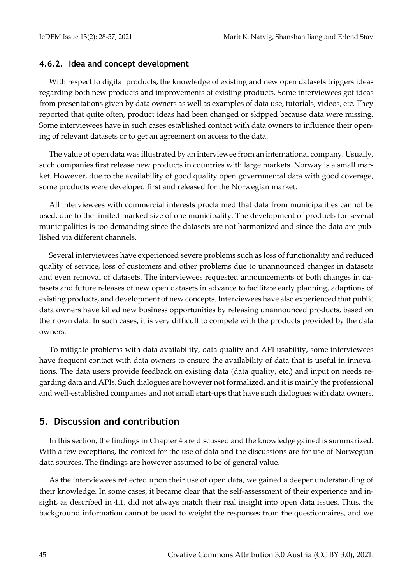#### **4.6.2. Idea and concept development**

With respect to digital products, the knowledge of existing and new open datasets triggers ideas regarding both new products and improvements of existing products. Some interviewees got ideas from presentations given by data owners as well as examples of data use, tutorials, videos, etc. They reported that quite often, product ideas had been changed or skipped because data were missing. Some interviewees have in such cases established contact with data owners to influence their opening of relevant datasets or to get an agreement on access to the data.

The value of open data was illustrated by an interviewee from an international company. Usually, such companies first release new products in countries with large markets. Norway is a small market. However, due to the availability of good quality open governmental data with good coverage, some products were developed first and released for the Norwegian market.

All interviewees with commercial interests proclaimed that data from municipalities cannot be used, due to the limited marked size of one municipality. The development of products for several municipalities is too demanding since the datasets are not harmonized and since the data are published via different channels.

Several interviewees have experienced severe problems such as loss of functionality and reduced quality of service, loss of customers and other problems due to unannounced changes in datasets and even removal of datasets. The interviewees requested announcements of both changes in datasets and future releases of new open datasets in advance to facilitate early planning, adaptions of existing products, and development of new concepts. Interviewees have also experienced that public data owners have killed new business opportunities by releasing unannounced products, based on their own data. In such cases, it is very difficult to compete with the products provided by the data owners.

To mitigate problems with data availability, data quality and API usability, some interviewees have frequent contact with data owners to ensure the availability of data that is useful in innovations. The data users provide feedback on existing data (data quality, etc.) and input on needs regarding data and APIs. Such dialogues are however not formalized, and it is mainly the professional and well-established companies and not small start-ups that have such dialogues with data owners.

## **5. Discussion and contribution**

In this section, the findings in Chapter 4 are discussed and the knowledge gained is summarized. With a few exceptions, the context for the use of data and the discussions are for use of Norwegian data sources. The findings are however assumed to be of general value.

As the interviewees reflected upon their use of open data, we gained a deeper understanding of their knowledge. In some cases, it became clear that the self-assessment of their experience and insight, as described in 4.1, did not always match their real insight into open data issues. Thus, the background information cannot be used to weight the responses from the questionnaires, and we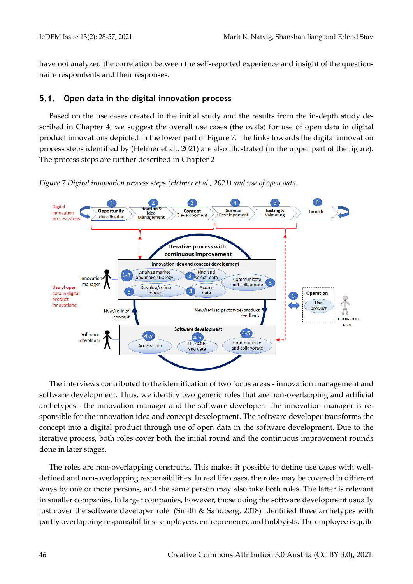have not analyzed the correlation between the self-reported experience and insight of the questionnaire respondents and their responses.

#### **5.1. Open data in the digital innovation process**

Based on the use cases created in the initial study and the results from the in-depth study described in Chapter [4,](#page-7-1) we suggest the overall use cases (the ovals) for use of open data in digital product innovations depicted in the lower part o[f Figure 7.](#page-18-0) The links towards the digital innovation process steps identified by (Helmer et al., 2021) are also illustrated (in the upper part of the figure). The process steps are further described in Chapter [2](#page-2-0)

<span id="page-18-0"></span>*Figure 7 Digital innovation process steps (Helmer et al., 2021) and use of open data.*



The interviews contributed to the identification of two focus areas - innovation management and software development. Thus, we identify two generic roles that are non-overlapping and artificial archetypes - the innovation manager and the software developer. The innovation manager is responsible for the innovation idea and concept development. The software developer transforms the concept into a digital product through use of open data in the software development. Due to the iterative process, both roles cover both the initial round and the continuous improvement rounds done in later stages.

The roles are non-overlapping constructs. This makes it possible to define use cases with welldefined and non-overlapping responsibilities. In real life cases, the roles may be covered in different ways by one or more persons, and the same person may also take both roles. The latter is relevant in smaller companies. In larger companies, however, those doing the software development usually just cover the software developer role. (Smith & Sandberg, 2018) identified three archetypes with partly overlapping responsibilities - employees, entrepreneurs, and hobbyists. The employee is quite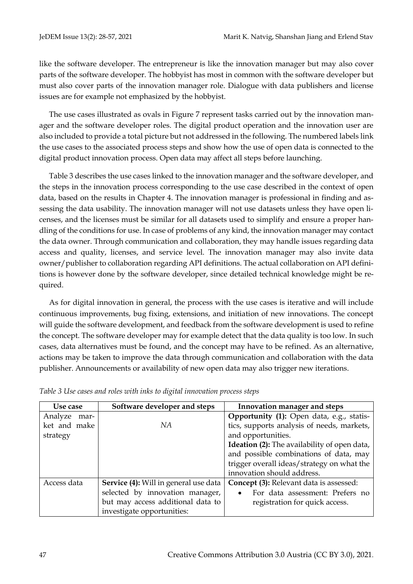like the software developer. The entrepreneur is like the innovation manager but may also cover parts of the software developer. The hobbyist has most in common with the software developer but must also cover parts of the innovation manager role. Dialogue with data publishers and license issues are for example not emphasized by the hobbyist.

The use cases illustrated as ovals in [Figure 7](#page-18-0) represent tasks carried out by the innovation manager and the software developer roles. The digital product operation and the innovation user are also included to provide a total picture but not addressed in the following. The numbered labels link the use cases to the associated process steps and show how the use of open data is connected to the digital product innovation process. Open data may affect all steps before launching.

[Table 3](#page-19-0) describes the use cases linked to the innovation manager and the software developer, and the steps in the innovation process corresponding to the use case described in the context of open data, based on the results in Chapter 4. The innovation manager is professional in finding and assessing the data usability. The innovation manager will not use datasets unless they have open licenses, and the licenses must be similar for all datasets used to simplify and ensure a proper handling of the conditions for use. In case of problems of any kind, the innovation manager may contact the data owner. Through communication and collaboration, they may handle issues regarding data access and quality, licenses, and service level. The innovation manager may also invite data owner/publisher to collaboration regarding API definitions. The actual collaboration on API definitions is however done by the software developer, since detailed technical knowledge might be required.

As for digital innovation in general, the process with the use cases is iterative and will include continuous improvements, bug fixing, extensions, and initiation of new innovations. The concept will guide the software development, and feedback from the software development is used to refine the concept. The software developer may for example detect that the data quality is too low. In such cases, data alternatives must be found, and the concept may have to be refined. As an alternative, actions may be taken to improve the data through communication and collaboration with the data publisher. Announcements or availability of new open data may also trigger new iterations.

| Use case        | Software developer and steps                 | Innovation manager and steps                        |
|-----------------|----------------------------------------------|-----------------------------------------------------|
| Analyze<br>mar- |                                              | Opportunity (1): Open data, e.g., statis-           |
| ket and make    | NА                                           | tics, supports analysis of needs, markets,          |
| strategy        |                                              | and opportunities.                                  |
|                 |                                              | <b>Ideation (2):</b> The availability of open data, |
|                 |                                              | and possible combinations of data, may              |
|                 |                                              | trigger overall ideas/strategy on what the          |
|                 |                                              | innovation should address.                          |
| Access data     | <b>Service (4):</b> Will in general use data | <b>Concept (3):</b> Relevant data is assessed:      |
|                 | selected by innovation manager,              | For data assessment: Prefers no                     |
|                 | but may access additional data to            | registration for quick access.                      |
|                 | investigate opportunities:                   |                                                     |

<span id="page-19-0"></span>

| Table 3 Use cases and roles with inks to digital innovation process steps |  |  |  |  |
|---------------------------------------------------------------------------|--|--|--|--|
|                                                                           |  |  |  |  |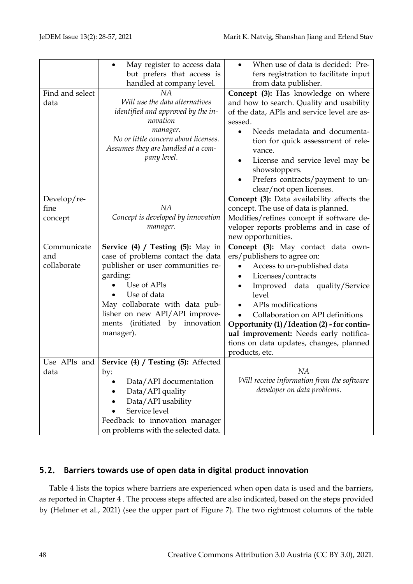|                 | May register to access data<br>$\bullet$ | When use of data is decided: Pre-            |
|-----------------|------------------------------------------|----------------------------------------------|
|                 | but prefers that access is               | fers registration to facilitate input        |
|                 | handled at company level.                | from data publisher.                         |
| Find and select | NA                                       | Concept (3): Has knowledge on where          |
| data            | Will use the data alternatives           | and how to search. Quality and usability     |
|                 | identified and approved by the in-       | of the data, APIs and service level are as-  |
|                 | novation                                 | sessed.                                      |
|                 | manager.                                 | Needs metadata and documenta-<br>$\bullet$   |
|                 | No or little concern about licenses.     | tion for quick assessment of rele-           |
|                 | Assumes they are handled at a com-       | vance.                                       |
|                 | pany level.                              | License and service level may be<br>٠        |
|                 |                                          | showstoppers.                                |
|                 |                                          | Prefers contracts/payment to un-             |
|                 |                                          | clear/not open licenses.                     |
| Develop/re-     |                                          | Concept (3): Data availability affects the   |
| fine            | NA                                       | concept. The use of data is planned.         |
| concept         | Concept is developed by innovation       | Modifies/refines concept if software de-     |
|                 | manager.                                 | veloper reports problems and in case of      |
|                 |                                          | new opportunities.                           |
|                 |                                          |                                              |
| Communicate     | Service $(4)$ / Testing $(5)$ : May in   | Concept (3): May contact data own-           |
| and             | case of problems contact the data        | ers/publishers to agree on:                  |
| collaborate     | publisher or user communities re-        | Access to un-published data                  |
|                 | garding:                                 | Licenses/contracts                           |
|                 | Use of APIs                              | Improved data quality/Service                |
|                 | Use of data                              | level                                        |
|                 | May collaborate with data pub-           | APIs modifications                           |
|                 | lisher on new API/API improve-           | Collaboration on API definitions             |
|                 | ments (initiated by innovation           | Opportunity (1) / Ideation (2) - for contin- |
|                 | manager).                                | ual improvement: Needs early notifica-       |
|                 |                                          | tions on data updates, changes, planned      |
|                 |                                          | products, etc.                               |
| Use APIs and    | Service (4) / Testing (5): Affected      |                                              |
| data            | by:                                      | NA                                           |
|                 | Data/API documentation                   | Will receive information from the software   |
|                 | Data/API quality                         | developer on data problems.                  |
|                 | Data/API usability                       |                                              |
|                 | Service level                            |                                              |
|                 |                                          |                                              |
|                 | Feedback to innovation manager           |                                              |
|                 | on problems with the selected data.      |                                              |

## **5.2. Barriers towards use of open data in digital product innovation**

[Table 4](#page-21-0) lists the topics where barriers are experienced when open data is used and the barriers, as reported in Chapter [4](#page-7-1) . The process steps affected are also indicated, based on the steps provided by (Helmer et al., 2021) (see the upper part of [Figure 7\)](#page-18-0). The two rightmost columns of the table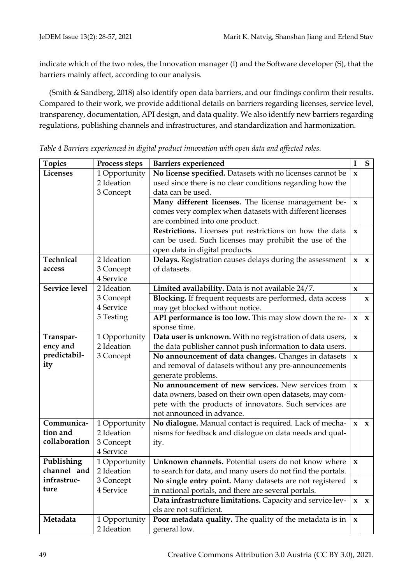indicate which of the two roles, the Innovation manager (I) and the Software developer (S), that the barriers mainly affect, according to our analysis.

(Smith & Sandberg, 2018) also identify open data barriers, and our findings confirm their results. Compared to their work, we provide additional details on barriers regarding licenses, service level, transparency, documentation, API design, and data quality. We also identify new barriers regarding regulations, publishing channels and infrastructures, and standardization and harmonization.

| <b>Topics</b>        | Process steps | <b>Barriers experienced</b>                                 | I                         | ${\bf S}$    |
|----------------------|---------------|-------------------------------------------------------------|---------------------------|--------------|
| Licenses             | 1 Opportunity | No license specified. Datasets with no licenses cannot be   | $\boldsymbol{\mathsf{X}}$ |              |
|                      | 2 Ideation    | used since there is no clear conditions regarding how the   |                           |              |
|                      | 3 Concept     | data can be used.                                           |                           |              |
|                      |               | Many different licenses. The license management be-         | X                         |              |
|                      |               | comes very complex when datasets with different licenses    |                           |              |
|                      |               | are combined into one product.                              |                           |              |
|                      |               | Restrictions. Licenses put restrictions on how the data     | $\pmb{\chi}$              |              |
|                      |               | can be used. Such licenses may prohibit the use of the      |                           |              |
|                      |               | open data in digital products.                              |                           |              |
| Technical            | 2 Ideation    | Delays. Registration causes delays during the assessment    | X                         | $\mathbf x$  |
| access               | 3 Concept     | of datasets.                                                |                           |              |
|                      | 4 Service     |                                                             |                           |              |
| <b>Service level</b> | 2 Ideation    | Limited availability. Data is not available 24/7.           | x                         |              |
|                      | 3 Concept     | Blocking. If frequent requests are performed, data access   |                           | x            |
|                      | 4 Service     | may get blocked without notice.                             |                           |              |
|                      | 5 Testing     | API performance is too low. This may slow down the re-      | $\mathbf{x}$              | $\mathbf x$  |
|                      |               | sponse time.                                                |                           |              |
| Transpar-            | 1 Opportunity | Data user is unknown. With no registration of data users,   | X                         |              |
| ency and             | 2 Ideation    | the data publisher cannot push information to data users.   |                           |              |
| predictabil-         | 3 Concept     | No announcement of data changes. Changes in datasets        | $\mathbf x$               |              |
| ity                  |               | and removal of datasets without any pre-announcements       |                           |              |
|                      |               | generate problems.                                          |                           |              |
|                      |               | No announcement of new services. New services from          | $\mathbf x$               |              |
|                      |               | data owners, based on their own open datasets, may com-     |                           |              |
|                      |               | pete with the products of innovators. Such services are     |                           |              |
|                      |               | not announced in advance.                                   |                           |              |
| Communica-           | 1 Opportunity | No dialogue. Manual contact is required. Lack of mecha-     | $\mathbf{x}$              | $\mathbf{x}$ |
| tion and             | 2 Ideation    | nisms for feedback and dialogue on data needs and qual-     |                           |              |
| collaboration        | 3 Concept     | ity.                                                        |                           |              |
|                      | 4 Service     |                                                             |                           |              |
| Publishing           | 1 Opportunity | Unknown channels. Potential users do not know where         | $\mathbf x$               |              |
| channel and          | 2 Ideation    | to search for data, and many users do not find the portals. |                           |              |
| infrastruc-          | 3 Concept     | No single entry point. Many datasets are not registered     | $\mathbf{x}$              |              |
| ture                 | 4 Service     | in national portals, and there are several portals.         |                           |              |
|                      |               | Data infrastructure limitations. Capacity and service lev-  | $\mathbf{x}$              | $\mathbf{x}$ |
|                      |               | els are not sufficient.                                     |                           |              |
| Metadata             | 1 Opportunity | Poor metadata quality. The quality of the metadata is in    | $\mathbf x$               |              |
|                      | 2 Ideation    | general low.                                                |                           |              |

<span id="page-21-0"></span>*Table 4 Barriers experienced in digital product innovation with open data and affected roles.*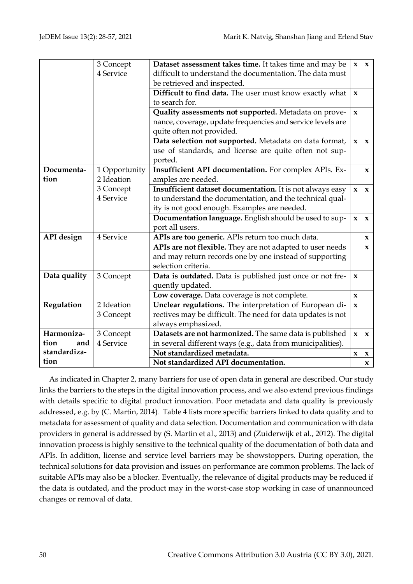|              | 3 Concept     | Dataset assessment takes time. It takes time and may be     | $\mathbf{x}$              | $\mathbf{x}$ |
|--------------|---------------|-------------------------------------------------------------|---------------------------|--------------|
|              | 4 Service     | difficult to understand the documentation. The data must    |                           |              |
|              |               | be retrieved and inspected.                                 |                           |              |
|              |               | Difficult to find data. The user must know exactly what     | $\mathbf x$               |              |
|              |               | to search for.                                              |                           |              |
|              |               | Quality assessments not supported. Metadata on prove-       | $\mathbf x$               |              |
|              |               | nance, coverage, update frequencies and service levels are  |                           |              |
|              |               | quite often not provided.                                   |                           |              |
|              |               | Data selection not supported. Metadata on data format,      | $\mathbf{x}$              | $\mathbf{x}$ |
|              |               | use of standards, and license are quite often not sup-      |                           |              |
|              |               | ported.                                                     |                           |              |
| Documenta-   | 1 Opportunity | Insufficient API documentation. For complex APIs. Ex-       |                           | $\mathbf{x}$ |
| tion         | 2 Ideation    | amples are needed.                                          |                           |              |
|              | 3 Concept     | Insufficient dataset documentation. It is not always easy   | $\mathbf{x}$              | $\mathbf{x}$ |
|              | 4 Service     | to understand the documentation, and the technical qual-    |                           |              |
|              |               | ity is not good enough. Examples are needed.                |                           |              |
|              |               | Documentation language. English should be used to sup-      | $\mathbf{x}$              | $\mathbf{x}$ |
|              |               | port all users.                                             |                           |              |
| API design   | 4 Service     | APIs are too generic. APIs return too much data.            |                           | $\mathbf x$  |
|              |               | APIs are not flexible. They are not adapted to user needs   |                           | $\mathbf{x}$ |
|              |               | and may return records one by one instead of supporting     |                           |              |
|              |               | selection criteria.                                         |                           |              |
| Data quality | 3 Concept     | Data is outdated. Data is published just once or not fre-   | x                         |              |
|              |               | quently updated.                                            |                           |              |
|              |               | Low coverage. Data coverage is not complete.                | $\boldsymbol{\mathsf{x}}$ |              |
| Regulation   | 2 Ideation    | Unclear regulations. The interpretation of European di-     | $\mathbf{x}$              |              |
|              | 3 Concept     | rectives may be difficult. The need for data updates is not |                           |              |
|              |               | always emphasized.                                          |                           |              |
| Harmoniza-   | 3 Concept     | Datasets are not harmonized. The same data is published     | $\mathbf{x}$              | $\mathbf{x}$ |
| tion<br>and  | 4 Service     | in several different ways (e.g., data from municipalities). |                           |              |
| standardiza- |               | Not standardized metadata.                                  | x                         | x            |
| tion         |               | Not standardized API documentation.                         |                           | $\mathbf x$  |

As indicated in Chapte[r 2,](#page-2-1) many barriers for use of open data in general are described. Our study links the barriers to the steps in the digital innovation process, and we also extend previous findings with details specific to digital product innovation. Poor metadata and data quality is previously addressed, e.g. by (C. Martin, 2014). [Table 4](#page-21-0) lists more specific barriers linked to data quality and to metadata for assessment of quality and data selection. Documentation and communication with data providers in general is addressed by (S. Martin et al., 2013) and (Zuiderwijk et al., 2012). The digital innovation process is highly sensitive to the technical quality of the documentation of both data and APIs. In addition, license and service level barriers may be showstoppers. During operation, the technical solutions for data provision and issues on performance are common problems. The lack of suitable APIs may also be a blocker. Eventually, the relevance of digital products may be reduced if the data is outdated, and the product may in the worst-case stop working in case of unannounced changes or removal of data.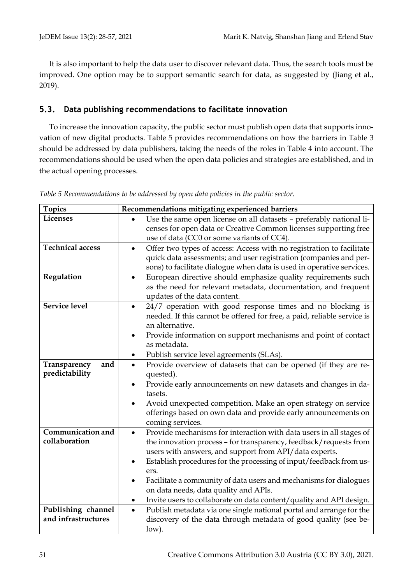It is also important to help the data user to discover relevant data. Thus, the search tools must be improved. One option may be to support semantic search for data, as suggested by (Jiang et al., 2019).

## **5.3. Data publishing recommendations to facilitate innovation**

To increase the innovation capacity, the public sector must publish open data that supports innovation of new digital products. [Table 5](#page-23-0) provides recommendations on how the barriers in Table 3 should be addressed by data publishers, taking the needs of the roles in Table 4 into account. The recommendations should be used when the open data policies and strategies are established, and in the actual opening processes.

| <b>Topics</b>                             | Recommendations mitigating experienced barriers                                  |
|-------------------------------------------|----------------------------------------------------------------------------------|
| Licenses                                  | Use the same open license on all datasets - preferably national li-              |
|                                           | censes for open data or Creative Common licenses supporting free                 |
|                                           | use of data (CC0 or some variants of CC4).                                       |
| <b>Technical access</b>                   | Offer two types of access: Access with no registration to facilitate             |
|                                           | quick data assessments; and user registration (companies and per-                |
|                                           | sons) to facilitate dialogue when data is used in operative services.            |
| Regulation                                | European directive should emphasize quality requirements such<br>$\bullet$       |
|                                           | as the need for relevant metadata, documentation, and frequent                   |
|                                           | updates of the data content.                                                     |
| <b>Service level</b>                      | 24/7 operation with good response times and no blocking is<br>$\bullet$          |
|                                           | needed. If this cannot be offered for free, a paid, reliable service is          |
|                                           | an alternative.                                                                  |
|                                           | Provide information on support mechanisms and point of contact                   |
|                                           | as metadata.                                                                     |
|                                           | Publish service level agreements (SLAs).<br>٠                                    |
| Transparency<br>and                       | Provide overview of datasets that can be opened (if they are re-<br>$\bullet$    |
| predictability                            | quested).                                                                        |
|                                           | Provide early announcements on new datasets and changes in da-                   |
|                                           | tasets.                                                                          |
|                                           | Avoid unexpected competition. Make an open strategy on service                   |
|                                           | offerings based on own data and provide early announcements on                   |
|                                           | coming services.                                                                 |
| <b>Communication and</b>                  | Provide mechanisms for interaction with data users in all stages of<br>$\bullet$ |
| collaboration                             | the innovation process - for transparency, feedback/requests from                |
|                                           | users with answers, and support from API/data experts.                           |
|                                           | Establish procedures for the processing of input/feedback from us-               |
|                                           | ers.                                                                             |
|                                           | Facilitate a community of data users and mechanisms for dialogues<br>٠           |
|                                           | on data needs, data quality and APIs.                                            |
|                                           | Invite users to collaborate on data content/quality and API design.<br>٠         |
| Publishing channel<br>and infrastructures | Publish metadata via one single national portal and arrange for the<br>$\bullet$ |
|                                           | discovery of the data through metadata of good quality (see be-                  |
|                                           | low).                                                                            |

<span id="page-23-0"></span>*Table 5 Recommendations to be addressed by open data policies in the public sector.*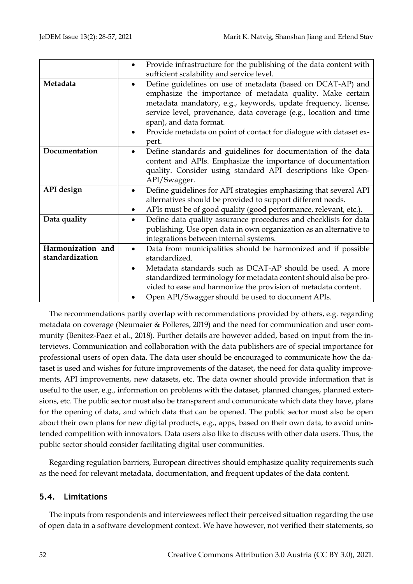|                   | Provide infrastructure for the publishing of the data content with<br>sufficient scalability and service level.                                                                                                                                                                                                                                                                         |
|-------------------|-----------------------------------------------------------------------------------------------------------------------------------------------------------------------------------------------------------------------------------------------------------------------------------------------------------------------------------------------------------------------------------------|
| Metadata          | Define guidelines on use of metadata (based on DCAT-AP) and<br>$\bullet$<br>emphasize the importance of metadata quality. Make certain<br>metadata mandatory, e.g., keywords, update frequency, license,<br>service level, provenance, data coverage (e.g., location and time<br>span), and data format.<br>Provide metadata on point of contact for dialogue with dataset ex-<br>pert. |
| Documentation     | Define standards and guidelines for documentation of the data<br>$\bullet$<br>content and APIs. Emphasize the importance of documentation<br>quality. Consider using standard API descriptions like Open-<br>API/Swagger.                                                                                                                                                               |
| API design        | Define guidelines for API strategies emphasizing that several API<br>alternatives should be provided to support different needs.<br>APIs must be of good quality (good performance, relevant, etc.).<br>٠                                                                                                                                                                               |
| Data quality      | Define data quality assurance procedures and checklists for data<br>$\bullet$<br>publishing. Use open data in own organization as an alternative to<br>integrations between internal systems.                                                                                                                                                                                           |
| Harmonization and | Data from municipalities should be harmonized and if possible<br>$\bullet$                                                                                                                                                                                                                                                                                                              |
| standardization   | standardized.                                                                                                                                                                                                                                                                                                                                                                           |
|                   | Metadata standards such as DCAT-AP should be used. A more<br>٠                                                                                                                                                                                                                                                                                                                          |
|                   | standardized terminology for metadata content should also be pro-                                                                                                                                                                                                                                                                                                                       |
|                   | vided to ease and harmonize the provision of metadata content.                                                                                                                                                                                                                                                                                                                          |
|                   | Open API/Swagger should be used to document APIs.                                                                                                                                                                                                                                                                                                                                       |

The recommendations partly overlap with recommendations provided by others, e.g. regarding metadata on coverage (Neumaier & Polleres, 2019) and the need for communication and user community (Benitez-Paez et al., 2018). Further details are however added, based on input from the interviews. Communication and collaboration with the data publishers are of special importance for professional users of open data. The data user should be encouraged to communicate how the dataset is used and wishes for future improvements of the dataset, the need for data quality improvements, API improvements, new datasets, etc. The data owner should provide information that is useful to the user, e.g., information on problems with the dataset, planned changes, planned extensions, etc. The public sector must also be transparent and communicate which data they have, plans for the opening of data, and which data that can be opened. The public sector must also be open about their own plans for new digital products, e.g., apps, based on their own data, to avoid unintended competition with innovators. Data users also like to discuss with other data users. Thus, the public sector should consider facilitating digital user communities.

Regarding regulation barriers, European directives should emphasize quality requirements such as the need for relevant metadata, documentation, and frequent updates of the data content.

## **5.4. Limitations**

The inputs from respondents and interviewees reflect their perceived situation regarding the use of open data in a software development context. We have however, not verified their statements, so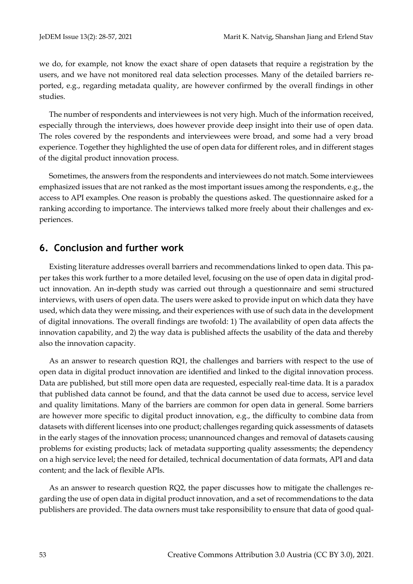we do, for example, not know the exact share of open datasets that require a registration by the users, and we have not monitored real data selection processes. Many of the detailed barriers reported, e.g., regarding metadata quality, are however confirmed by the overall findings in other studies.

The number of respondents and interviewees is not very high. Much of the information received, especially through the interviews, does however provide deep insight into their use of open data. The roles covered by the respondents and interviewees were broad, and some had a very broad experience. Together they highlighted the use of open data for different roles, and in different stages of the digital product innovation process.

Sometimes, the answers from the respondents and interviewees do not match. Some interviewees emphasized issues that are not ranked as the most important issues among the respondents, e.g., the access to API examples. One reason is probably the questions asked. The questionnaire asked for a ranking according to importance. The interviews talked more freely about their challenges and experiences.

## **6. Conclusion and further work**

Existing literature addresses overall barriers and recommendations linked to open data. This paper takes this work further to a more detailed level, focusing on the use of open data in digital product innovation. An in-depth study was carried out through a questionnaire and semi structured interviews, with users of open data. The users were asked to provide input on which data they have used, which data they were missing, and their experiences with use of such data in the development of digital innovations. The overall findings are twofold: 1) The availability of open data affects the innovation capability, and 2) the way data is published affects the usability of the data and thereby also the innovation capacity.

As an answer to research question RQ1, the challenges and barriers with respect to the use of open data in digital product innovation are identified and linked to the digital innovation process. Data are published, but still more open data are requested, especially real-time data. It is a paradox that published data cannot be found, and that the data cannot be used due to access, service level and quality limitations. Many of the barriers are common for open data in general. Some barriers are however more specific to digital product innovation, e.g., the difficulty to combine data from datasets with different licenses into one product; challenges regarding quick assessments of datasets in the early stages of the innovation process; unannounced changes and removal of datasets causing problems for existing products; lack of metadata supporting quality assessments; the dependency on a high service level; the need for detailed, technical documentation of data formats, API and data content; and the lack of flexible APIs.

As an answer to research question RQ2, the paper discusses how to mitigate the challenges regarding the use of open data in digital product innovation, and a set of recommendations to the data publishers are provided. The data owners must take responsibility to ensure that data of good qual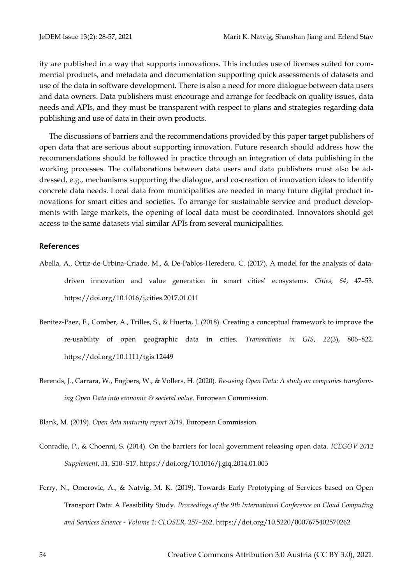ity are published in a way that supports innovations. This includes use of licenses suited for commercial products, and metadata and documentation supporting quick assessments of datasets and use of the data in software development. There is also a need for more dialogue between data users and data owners. Data publishers must encourage and arrange for feedback on quality issues, data needs and APIs, and they must be transparent with respect to plans and strategies regarding data publishing and use of data in their own products.

The discussions of barriers and the recommendations provided by this paper target publishers of open data that are serious about supporting innovation. Future research should address how the recommendations should be followed in practice through an integration of data publishing in the working processes. The collaborations between data users and data publishers must also be addressed, e.g., mechanisms supporting the dialogue, and co-creation of innovation ideas to identify concrete data needs. Local data from municipalities are needed in many future digital product innovations for smart cities and societies. To arrange for sustainable service and product developments with large markets, the opening of local data must be coordinated. Innovators should get access to the same datasets vial similar APIs from several municipalities.

#### **References**

- Abella, A., Ortiz-de-Urbina-Criado, M., & De-Pablos-Heredero, C. (2017). A model for the analysis of datadriven innovation and value generation in smart cities' ecosystems. *Cities*, *64*, 47–53. https://doi.org/10.1016/j.cities.2017.01.011
- Benitez-Paez, F., Comber, A., Trilles, S., & Huerta, J. (2018). Creating a conceptual framework to improve the re-usability of open geographic data in cities. *Transactions in GIS*, *22*(3), 806–822. https://doi.org/10.1111/tgis.12449
- Berends, J., Carrara, W., Engbers, W., & Vollers, H. (2020). *Re-using Open Data: A study on companies transforming Open Data into economic & societal value*. European Commission.
- Blank, M. (2019). *Open data maturity report 2019*. European Commission.
- Conradie, P., & Choenni, S. (2014). On the barriers for local government releasing open data. *ICEGOV 2012 Supplement*, *31*, S10–S17. https://doi.org/10.1016/j.giq.2014.01.003
- Ferry, N., Omerovic, A., & Natvig, M. K. (2019). Towards Early Prototyping of Services based on Open Transport Data: A Feasibility Study. *Proceedings of the 9th International Conference on Cloud Computing and Services Science - Volume 1: CLOSER,* 257–262. https://doi.org/10.5220/0007675402570262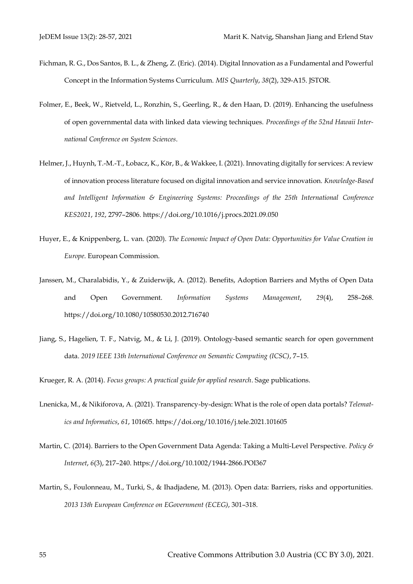- Fichman, R. G., Dos Santos, B. L., & Zheng, Z. (Eric). (2014). Digital Innovation as a Fundamental and Powerful Concept in the Information Systems Curriculum. *MIS Quarterly*, *38*(2), 329-A15. JSTOR.
- Folmer, E., Beek, W., Rietveld, L., Ronzhin, S., Geerling, R., & den Haan, D. (2019). Enhancing the usefulness of open governmental data with linked data viewing techniques. *Proceedings of the 52nd Hawaii International Conference on System Sciences*.
- Helmer, J., Huynh, T.-M.-T., Łobacz, K., Kör, B., & Wakkee, I. (2021). Innovating digitally for services: A review of innovation process literature focused on digital innovation and service innovation. *Knowledge-Based and Intelligent Information & Engineering Systems: Proceedings of the 25th International Conference KES2021*, *192*, 2797–2806. https://doi.org/10.1016/j.procs.2021.09.050
- Huyer, E., & Knippenberg, L. van. (2020). *The Economic Impact of Open Data: Opportunities for Value Creation in Europe*. European Commission.
- Janssen, M., Charalabidis, Y., & Zuiderwijk, A. (2012). Benefits, Adoption Barriers and Myths of Open Data and Open Government. *Information Systems Management*, *29*(4), 258–268. https://doi.org/10.1080/10580530.2012.716740
- Jiang, S., Hagelien, T. F., Natvig, M., & Li, J. (2019). Ontology-based semantic search for open government data. *2019 IEEE 13th International Conference on Semantic Computing (ICSC)*, 7–15.
- Krueger, R. A. (2014). *Focus groups: A practical guide for applied research*. Sage publications.
- Lnenicka, M., & Nikiforova, A. (2021). Transparency-by-design: What is the role of open data portals? *Telematics and Informatics*, *61*, 101605. https://doi.org/10.1016/j.tele.2021.101605
- Martin, C. (2014). Barriers to the Open Government Data Agenda: Taking a Multi-Level Perspective. *Policy & Internet*, *6*(3), 217–240. https://doi.org/10.1002/1944-2866.POI367
- Martin, S., Foulonneau, M., Turki, S., & Ihadjadene, M. (2013). Open data: Barriers, risks and opportunities. *2013 13th European Conference on EGovernment (ECEG)*, 301–318.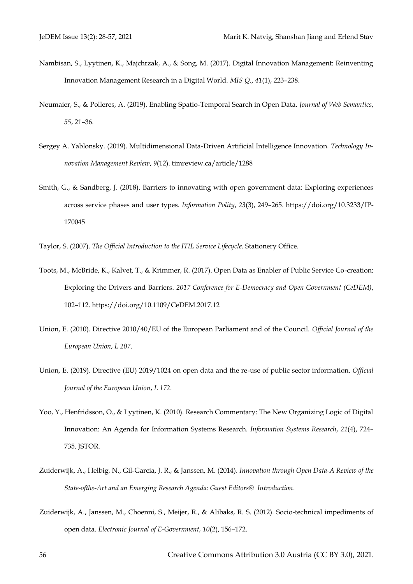- Nambisan, S., Lyytinen, K., Majchrzak, A., & Song, M. (2017). Digital Innovation Management: Reinventing Innovation Management Research in a Digital World. *MIS Q.*, *41*(1), 223–238.
- Neumaier, S., & Polleres, A. (2019). Enabling Spatio-Temporal Search in Open Data. *Journal of Web Semantics*, *55*, 21–36.
- Sergey A. Yablonsky. (2019). Multidimensional Data-Driven Artificial Intelligence Innovation. *Technology Innovation Management Review*, *9*(12). timreview.ca/article/1288
- Smith, G., & Sandberg, J. (2018). Barriers to innovating with open government data: Exploring experiences across service phases and user types. *Information Polity*, *23*(3), 249–265. https://doi.org/10.3233/IP-170045

Taylor, S. (2007). *The Official Introduction to the ITIL Service Lifecycle*. Stationery Office.

- Toots, M., McBride, K., Kalvet, T., & Krimmer, R. (2017). Open Data as Enabler of Public Service Co-creation: Exploring the Drivers and Barriers. *2017 Conference for E-Democracy and Open Government (CeDEM)*, 102–112. https://doi.org/10.1109/CeDEM.2017.12
- Union, E. (2010). Directive 2010/40/EU of the European Parliament and of the Council. *Official Journal of the European Union*, *L 207*.
- Union, E. (2019). Directive (EU) 2019/1024 on open data and the re-use of public sector information. *Official Journal of the European Union*, *L 172*.
- Yoo, Y., Henfridsson, O., & Lyytinen, K. (2010). Research Commentary: The New Organizing Logic of Digital Innovation: An Agenda for Information Systems Research. *Information Systems Research*, *21*(4), 724– 735. JSTOR.
- Zuiderwijk, A., Helbig, N., Gil-Garcia, J. R., & Janssen, M. (2014). *Innovation through Open Data-A Review of the State-ofthe-Art and an Emerging Research Agenda: Guest Editors@ Introduction*.
- Zuiderwijk, A., Janssen, M., Choenni, S., Meijer, R., & Alibaks, R. S. (2012). Socio-technical impediments of open data. *Electronic Journal of E-Government*, *10*(2), 156–172.